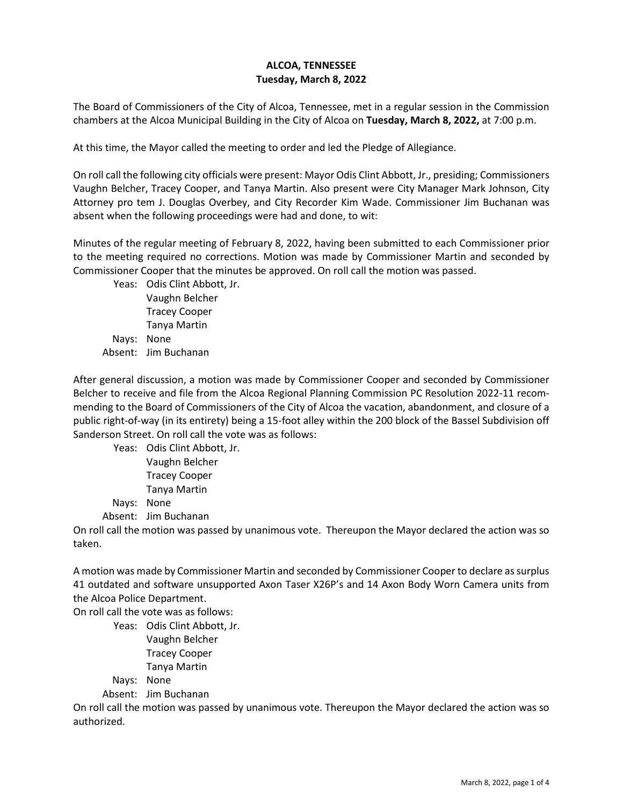## **ALCOA, TENNESSEE Tuesday, March 8, 2022**

The Board of Commissioners of the City of Alcoa, Tennessee, met in a regular session in the Commission chambers at the Alcoa Municipal Building in the City of Alcoa on **Tuesday, March 8, 2022,** at 7:00 p.m.

At this time, the Mayor called the meeting to order and led the Pledge of Allegiance.

On roll call the following city officials were present: Mayor Odis Clint Abbott, Jr., presiding; Commissioners Vaughn Belcher, Tracey Cooper, and Tanya Martin. Also present were City Manager Mark Johnson, City Attorney pro tem J. Douglas Overbey, and City Recorder Kim Wade. Commissioner Jim Buchanan was absent when the following proceedings were had and done, to wit:

Minutes of the regular meeting of February 8, 2022, having been submitted to each Commissioner prior to the meeting required no corrections. Motion was made by Commissioner Martin and seconded by Commissioner Cooper that the minutes be approved. On roll call the motion was passed.

Yeas: Odis Clint Abbott, Jr. Vaughn Belcher Tracey Cooper Tanya Martin Nays: None Absent: Jim Buchanan

After general discussion, a motion was made by Commissioner Cooper and seconded by Commissioner Belcher to receive and file from the Alcoa Regional Planning Commission PC Resolution 2022-11 recommending to the Board of Commissioners of the City of Alcoa the vacation, abandonment, and closure of a public right-of-way (in its entirety) being a 15-foot alley within the 200 block of the Bassel Subdivision off Sanderson Street. On roll call the vote was as follows:

Yeas: Odis Clint Abbott, Jr. Vaughn Belcher Tracey Cooper Tanya Martin Nays: None Absent: Jim Buchanan

On roll call the motion was passed by unanimous vote. Thereupon the Mayor declared the action was so taken.

A motion was made by Commissioner Martin and seconded by Commissioner Cooper to declare as surplus 41 outdated and software unsupported Axon Taser X26P's and 14 Axon Body Worn Camera units from the Alcoa Police Department.

On roll call the vote was as follows:

Yeas: Odis Clint Abbott, Jr. Vaughn Belcher Tracey Cooper Tanya Martin Nays: None

Absent: Jim Buchanan

On roll call the motion was passed by unanimous vote. Thereupon the Mayor declared the action was so authorized.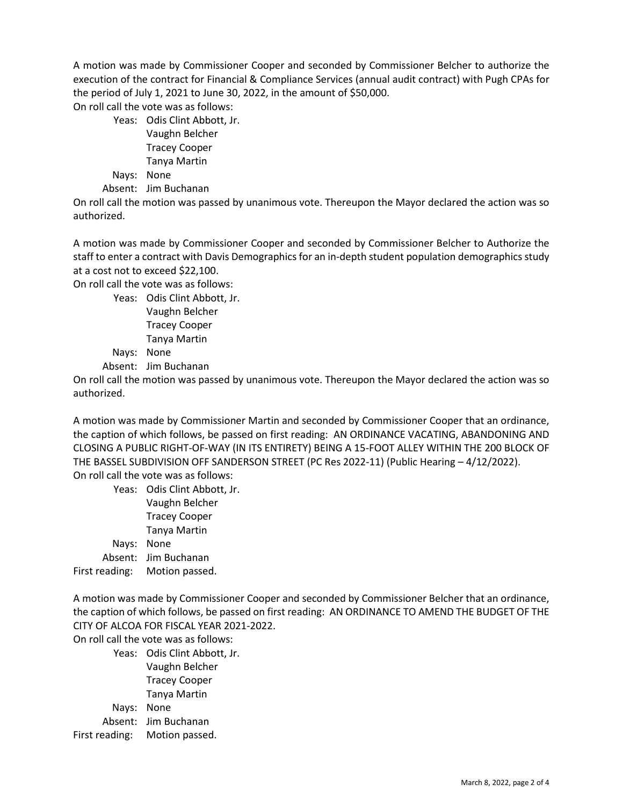A motion was made by Commissioner Cooper and seconded by Commissioner Belcher to authorize the execution of the contract for Financial & Compliance Services (annual audit contract) with Pugh CPAs for the period of July 1, 2021 to June 30, 2022, in the amount of \$50,000.

On roll call the vote was as follows:

Yeas: Odis Clint Abbott, Jr. Vaughn Belcher Tracey Cooper Tanya Martin Nays: None Absent: Jim Buchanan

On roll call the motion was passed by unanimous vote. Thereupon the Mayor declared the action was so authorized.

A motion was made by Commissioner Cooper and seconded by Commissioner Belcher to Authorize the staff to enter a contract with Davis Demographics for an in-depth student population demographics study at a cost not to exceed \$22,100.

On roll call the vote was as follows:

Yeas: Odis Clint Abbott, Jr. Vaughn Belcher Tracey Cooper Tanya Martin Nays: None

Absent: Jim Buchanan

On roll call the motion was passed by unanimous vote. Thereupon the Mayor declared the action was so authorized.

A motion was made by Commissioner Martin and seconded by Commissioner Cooper that an ordinance, the caption of which follows, be passed on first reading: AN ORDINANCE VACATING, ABANDONING AND CLOSING A PUBLIC RIGHT-OF-WAY (IN ITS ENTIRETY) BEING A 15-FOOT ALLEY WITHIN THE 200 BLOCK OF THE BASSEL SUBDIVISION OFF SANDERSON STREET (PC Res 2022-11) (Public Hearing – 4/12/2022). On roll call the vote was as follows:

Yeas: Odis Clint Abbott, Jr. Vaughn Belcher Tracey Cooper Tanya Martin Nays: None Absent: Jim Buchanan First reading: Motion passed.

A motion was made by Commissioner Cooper and seconded by Commissioner Belcher that an ordinance, the caption of which follows, be passed on first reading: AN ORDINANCE TO AMEND THE BUDGET OF THE CITY OF ALCOA FOR FISCAL YEAR 2021-2022.

On roll call the vote was as follows:

Yeas: Odis Clint Abbott, Jr. Vaughn Belcher Tracey Cooper Tanya Martin Nays: None Absent: Jim Buchanan First reading: Motion passed.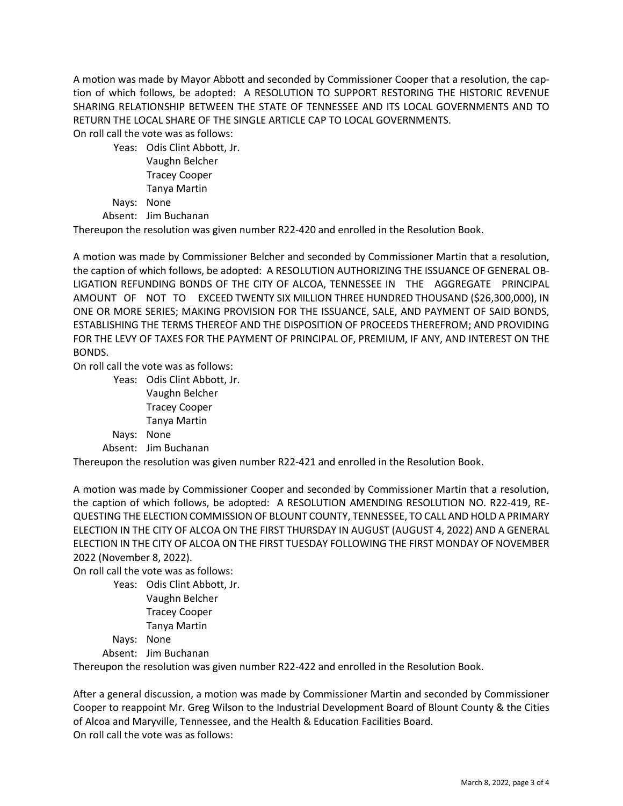A motion was made by Mayor Abbott and seconded by Commissioner Cooper that a resolution, the caption of which follows, be adopted: A RESOLUTION TO SUPPORT RESTORING THE HISTORIC REVENUE SHARING RELATIONSHIP BETWEEN THE STATE OF TENNESSEE AND ITS LOCAL GOVERNMENTS AND TO RETURN THE LOCAL SHARE OF THE SINGLE ARTICLE CAP TO LOCAL GOVERNMENTS.

On roll call the vote was as follows:

Yeas: Odis Clint Abbott, Jr. Vaughn Belcher Tracey Cooper Tanya Martin

Nays: None

Absent: Jim Buchanan

Thereupon the resolution was given number R22-420 and enrolled in the Resolution Book.

A motion was made by Commissioner Belcher and seconded by Commissioner Martin that a resolution, the caption of which follows, be adopted: A RESOLUTION AUTHORIZING THE ISSUANCE OF GENERAL OB-LIGATION REFUNDING BONDS OF THE CITY OF ALCOA, TENNESSEE IN THE AGGREGATE PRINCIPAL AMOUNT OF NOT TO EXCEED TWENTY SIX MILLION THREE HUNDRED THOUSAND (\$26,300,000), IN ONE OR MORE SERIES; MAKING PROVISION FOR THE ISSUANCE, SALE, AND PAYMENT OF SAID BONDS, ESTABLISHING THE TERMS THEREOF AND THE DISPOSITION OF PROCEEDS THEREFROM; AND PROVIDING FOR THE LEVY OF TAXES FOR THE PAYMENT OF PRINCIPAL OF, PREMIUM, IF ANY, AND INTEREST ON THE BONDS.

On roll call the vote was as follows:

Yeas: Odis Clint Abbott, Jr. Vaughn Belcher Tracey Cooper Tanya Martin Nays: None Absent: Jim Buchanan

Thereupon the resolution was given number R22-421 and enrolled in the Resolution Book.

A motion was made by Commissioner Cooper and seconded by Commissioner Martin that a resolution, the caption of which follows, be adopted: A RESOLUTION AMENDING RESOLUTION NO. R22-419, RE-QUESTING THE ELECTION COMMISSION OF BLOUNT COUNTY, TENNESSEE, TO CALL AND HOLD A PRIMARY ELECTION IN THE CITY OF ALCOA ON THE FIRST THURSDAY IN AUGUST (AUGUST 4, 2022) AND A GENERAL ELECTION IN THE CITY OF ALCOA ON THE FIRST TUESDAY FOLLOWING THE FIRST MONDAY OF NOVEMBER 2022 (November 8, 2022).

On roll call the vote was as follows:

Yeas: Odis Clint Abbott, Jr. Vaughn Belcher Tracey Cooper Tanya Martin Nays: None Absent: Jim Buchanan

Thereupon the resolution was given number R22-422 and enrolled in the Resolution Book.

After a general discussion, a motion was made by Commissioner Martin and seconded by Commissioner Cooper to reappoint Mr. Greg Wilson to the Industrial Development Board of Blount County & the Cities of Alcoa and Maryville, Tennessee, and the Health & Education Facilities Board. On roll call the vote was as follows: